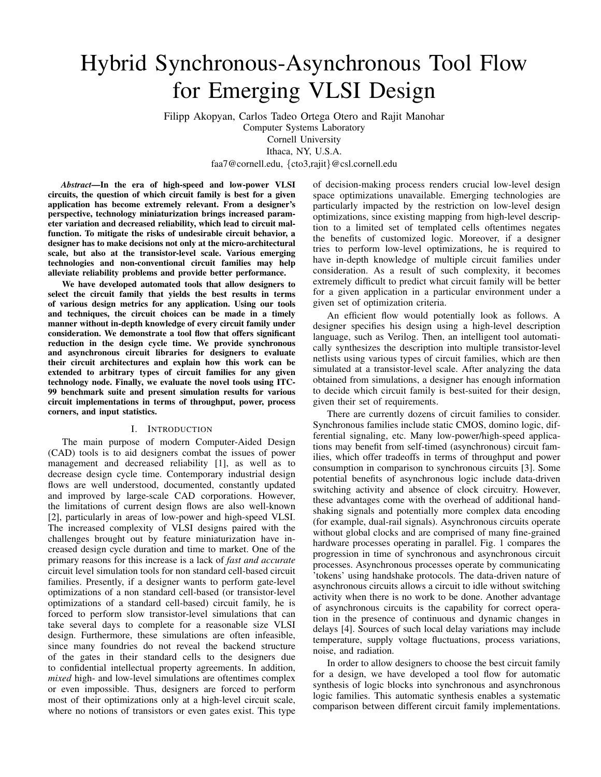# Hybrid Synchronous-Asynchronous Tool Flow for Emerging VLSI Design

Filipp Akopyan, Carlos Tadeo Ortega Otero and Rajit Manohar Computer Systems Laboratory Cornell University Ithaca, NY, U.S.A.

faa7@cornell.edu, {cto3,rajit}@csl.cornell.edu

*Abstract*—In the era of high-speed and low-power VLSI circuits, the question of which circuit family is best for a given application has become extremely relevant. From a designer's perspective, technology miniaturization brings increased parameter variation and decreased reliability, which lead to circuit malfunction. To mitigate the risks of undesirable circuit behavior, a designer has to make decisions not only at the micro-architectural scale, but also at the transistor-level scale. Various emerging technologies and non-conventional circuit families may help alleviate reliability problems and provide better performance.

We have developed automated tools that allow designers to select the circuit family that yields the best results in terms of various design metrics for any application. Using our tools and techniques, the circuit choices can be made in a timely manner without in-depth knowledge of every circuit family under consideration. We demonstrate a tool flow that offers significant reduction in the design cycle time. We provide synchronous and asynchronous circuit libraries for designers to evaluate their circuit architectures and explain how this work can be extended to arbitrary types of circuit families for any given technology node. Finally, we evaluate the novel tools using ITC-99 benchmark suite and present simulation results for various circuit implementations in terms of throughput, power, process corners, and input statistics.

#### I. INTRODUCTION

The main purpose of modern Computer-Aided Design (CAD) tools is to aid designers combat the issues of power management and decreased reliability [1], as well as to decrease design cycle time. Contemporary industrial design flows are well understood, documented, constantly updated and improved by large-scale CAD corporations. However, the limitations of current design flows are also well-known [2], particularly in areas of low-power and high-speed VLSI. The increased complexity of VLSI designs paired with the challenges brought out by feature miniaturization have increased design cycle duration and time to market. One of the primary reasons for this increase is a lack of *fast and accurate* circuit level simulation tools for non standard cell-based circuit families. Presently, if a designer wants to perform gate-level optimizations of a non standard cell-based (or transistor-level optimizations of a standard cell-based) circuit family, he is forced to perform slow transistor-level simulations that can take several days to complete for a reasonable size VLSI design. Furthermore, these simulations are often infeasible, since many foundries do not reveal the backend structure of the gates in their standard cells to the designers due to confidential intellectual property agreements. In addition, *mixed* high- and low-level simulations are oftentimes complex or even impossible. Thus, designers are forced to perform most of their optimizations only at a high-level circuit scale, where no notions of transistors or even gates exist. This type of decision-making process renders crucial low-level design space optimizations unavailable. Emerging technologies are particularly impacted by the restriction on low-level design optimizations, since existing mapping from high-level description to a limited set of templated cells oftentimes negates the benefits of customized logic. Moreover, if a designer tries to perform low-level optimizations, he is required to have in-depth knowledge of multiple circuit families under consideration. As a result of such complexity, it becomes extremely difficult to predict what circuit family will be better for a given application in a particular environment under a given set of optimization criteria.

An efficient flow would potentially look as follows. A designer specifies his design using a high-level description language, such as Verilog. Then, an intelligent tool automatically synthesizes the description into multiple transistor-level netlists using various types of circuit families, which are then simulated at a transistor-level scale. After analyzing the data obtained from simulations, a designer has enough information to decide which circuit family is best-suited for their design, given their set of requirements.

There are currently dozens of circuit families to consider. Synchronous families include static CMOS, domino logic, differential signaling, etc. Many low-power/high-speed applications may benefit from self-timed (asynchronous) circuit families, which offer tradeoffs in terms of throughput and power consumption in comparison to synchronous circuits [3]. Some potential benefits of asynchronous logic include data-driven switching activity and absence of clock circuitry. However, these advantages come with the overhead of additional handshaking signals and potentially more complex data encoding (for example, dual-rail signals). Asynchronous circuits operate without global clocks and are comprised of many fine-grained hardware processes operating in parallel. Fig. 1 compares the progression in time of synchronous and asynchronous circuit processes. Asynchronous processes operate by communicating 'tokens' using handshake protocols. The data-driven nature of asynchronous circuits allows a circuit to idle without switching activity when there is no work to be done. Another advantage of asynchronous circuits is the capability for correct operation in the presence of continuous and dynamic changes in delays [4]. Sources of such local delay variations may include temperature, supply voltage fluctuations, process variations, noise, and radiation.

In order to allow designers to choose the best circuit family for a design, we have developed a tool flow for automatic synthesis of logic blocks into synchronous and asynchronous logic families. This automatic synthesis enables a systematic comparison between different circuit family implementations.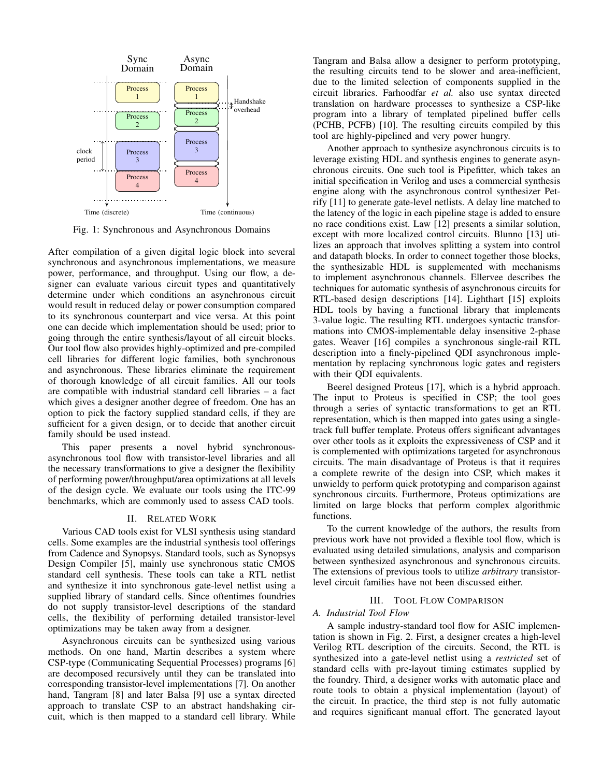

Fig. 1: Synchronous and Asynchronous Domains

After compilation of a given digital logic block into several synchronous and asynchronous implementations, we measure power, performance, and throughput. Using our flow, a designer can evaluate various circuit types and quantitatively determine under which conditions an asynchronous circuit would result in reduced delay or power consumption compared to its synchronous counterpart and vice versa. At this point one can decide which implementation should be used; prior to going through the entire synthesis/layout of all circuit blocks. Our tool flow also provides highly-optimized and pre-compiled cell libraries for different logic families, both synchronous and asynchronous. These libraries eliminate the requirement of thorough knowledge of all circuit families. All our tools are compatible with industrial standard cell libraries – a fact which gives a designer another degree of freedom. One has an option to pick the factory supplied standard cells, if they are sufficient for a given design, or to decide that another circuit family should be used instead.

This paper presents a novel hybrid synchronousasynchronous tool flow with transistor-level libraries and all the necessary transformations to give a designer the flexibility of performing power/throughput/area optimizations at all levels of the design cycle. We evaluate our tools using the ITC-99 benchmarks, which are commonly used to assess CAD tools.

#### II. RELATED WORK

Various CAD tools exist for VLSI synthesis using standard cells. Some examples are the industrial synthesis tool offerings from Cadence and Synopsys. Standard tools, such as Synopsys Design Compiler [5], mainly use synchronous static CMOS standard cell synthesis. These tools can take a RTL netlist and synthesize it into synchronous gate-level netlist using a supplied library of standard cells. Since oftentimes foundries do not supply transistor-level descriptions of the standard cells, the flexibility of performing detailed transistor-level optimizations may be taken away from a designer.

Asynchronous circuits can be synthesized using various methods. On one hand, Martin describes a system where CSP-type (Communicating Sequential Processes) programs [6] are decomposed recursively until they can be translated into corresponding transistor-level implementations [7]. On another hand, Tangram [8] and later Balsa [9] use a syntax directed approach to translate CSP to an abstract handshaking circuit, which is then mapped to a standard cell library. While

Tangram and Balsa allow a designer to perform prototyping, the resulting circuits tend to be slower and area-inefficient, due to the limited selection of components supplied in the circuit libraries. Farhoodfar *et al.* also use syntax directed translation on hardware processes to synthesize a CSP-like program into a library of templated pipelined buffer cells (PCHB, PCFB) [10]. The resulting circuits compiled by this tool are highly-pipelined and very power hungry.

Another approach to synthesize asynchronous circuits is to leverage existing HDL and synthesis engines to generate asynchronous circuits. One such tool is Pipefitter, which takes an initial specification in Verilog and uses a commercial synthesis engine along with the asynchronous control synthesizer Petrify [11] to generate gate-level netlists. A delay line matched to the latency of the logic in each pipeline stage is added to ensure no race conditions exist. Law [12] presents a similar solution, except with more localized control circuits. Blunno [13] utilizes an approach that involves splitting a system into control and datapath blocks. In order to connect together those blocks, the synthesizable HDL is supplemented with mechanisms to implement asynchronous channels. Ellervee describes the techniques for automatic synthesis of asynchronous circuits for RTL-based design descriptions [14]. Lighthart [15] exploits HDL tools by having a functional library that implements 3-value logic. The resulting RTL undergoes syntactic transformations into CMOS-implementable delay insensitive 2-phase gates. Weaver [16] compiles a synchronous single-rail RTL description into a finely-pipelined QDI asynchronous implementation by replacing synchronous logic gates and registers with their QDI equivalents.

Beerel designed Proteus [17], which is a hybrid approach. The input to Proteus is specified in CSP; the tool goes through a series of syntactic transformations to get an RTL representation, which is then mapped into gates using a singletrack full buffer template. Proteus offers significant advantages over other tools as it exploits the expressiveness of CSP and it is complemented with optimizations targeted for asynchronous circuits. The main disadvantage of Proteus is that it requires a complete rewrite of the design into CSP, which makes it unwieldy to perform quick prototyping and comparison against synchronous circuits. Furthermore, Proteus optimizations are limited on large blocks that perform complex algorithmic functions.

To the current knowledge of the authors, the results from previous work have not provided a flexible tool flow, which is evaluated using detailed simulations, analysis and comparison between synthesized asynchronous and synchronous circuits. The extensions of previous tools to utilize *arbitrary* transistorlevel circuit families have not been discussed either.

#### III. TOOL FLOW COMPARISON

# *A. Industrial Tool Flow*

A sample industry-standard tool flow for ASIC implementation is shown in Fig. 2. First, a designer creates a high-level Verilog RTL description of the circuits. Second, the RTL is synthesized into a gate-level netlist using a *restricted* set of standard cells with pre-layout timing estimates supplied by the foundry. Third, a designer works with automatic place and route tools to obtain a physical implementation (layout) of the circuit. In practice, the third step is not fully automatic and requires significant manual effort. The generated layout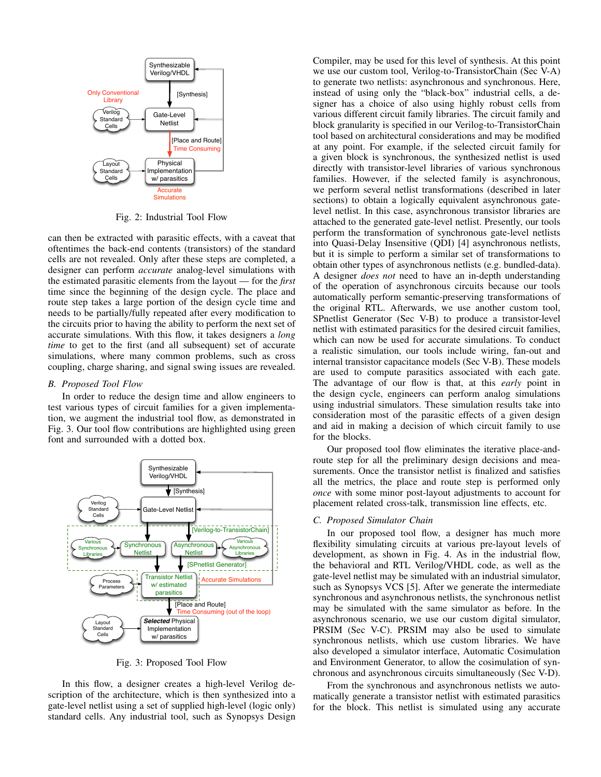

Fig. 2: Industrial Tool Flow

can then be extracted with parasitic effects, with a caveat that oftentimes the back-end contents (transistors) of the standard cells are not revealed. Only after these steps are completed, a designer can perform *accurate* analog-level simulations with the estimated parasitic elements from the layout — for the *first* time since the beginning of the design cycle. The place and route step takes a large portion of the design cycle time and needs to be partially/fully repeated after every modification to the circuits prior to having the ability to perform the next set of accurate simulations. With this flow, it takes designers a *long time* to get to the first (and all subsequent) set of accurate simulations, where many common problems, such as cross coupling, charge sharing, and signal swing issues are revealed.

# *B. Proposed Tool Flow*

In order to reduce the design time and allow engineers to test various types of circuit families for a given implementation, we augment the industrial tool flow, as demonstrated in Fig. 3. Our tool flow contributions are highlighted using green font and surrounded with a dotted box.



Fig. 3: Proposed Tool Flow

In this flow, a designer creates a high-level Verilog description of the architecture, which is then synthesized into a gate-level netlist using a set of supplied high-level (logic only) standard cells. Any industrial tool, such as Synopsys Design Compiler, may be used for this level of synthesis. At this point we use our custom tool, Verilog-to-TransistorChain (Sec V-A) to generate two netlists: asynchronous and synchronous. Here, instead of using only the "black-box" industrial cells, a designer has a choice of also using highly robust cells from various different circuit family libraries. The circuit family and block granularity is specified in our Verilog-to-TransistorChain tool based on architectural considerations and may be modified at any point. For example, if the selected circuit family for a given block is synchronous, the synthesized netlist is used directly with transistor-level libraries of various synchronous families. However, if the selected family is asynchronous, we perform several netlist transformations (described in later sections) to obtain a logically equivalent asynchronous gatelevel netlist. In this case, asynchronous transistor libraries are attached to the generated gate-level netlist. Presently, our tools perform the transformation of synchronous gate-level netlists into Quasi-Delay Insensitive (QDI) [4] asynchronous netlists, but it is simple to perform a similar set of transformations to obtain other types of asynchronous netlists (e.g. bundled-data). A designer *does not* need to have an in-depth understanding of the operation of asynchronous circuits because our tools automatically perform semantic-preserving transformations of the original RTL. Afterwards, we use another custom tool, SPnetlist Generator (Sec V-B) to produce a transistor-level netlist with estimated parasitics for the desired circuit families, which can now be used for accurate simulations. To conduct a realistic simulation, our tools include wiring, fan-out and internal transistor capacitance models (Sec V-B). These models are used to compute parasitics associated with each gate. The advantage of our flow is that, at this *early* point in the design cycle, engineers can perform analog simulations using industrial simulators. These simulation results take into consideration most of the parasitic effects of a given design and aid in making a decision of which circuit family to use for the blocks.

Our proposed tool flow eliminates the iterative place-androute step for all the preliminary design decisions and measurements. Once the transistor netlist is finalized and satisfies all the metrics, the place and route step is performed only *once* with some minor post-layout adjustments to account for placement related cross-talk, transmission line effects, etc.

### *C. Proposed Simulator Chain*

In our proposed tool flow, a designer has much more flexibility simulating circuits at various pre-layout levels of development, as shown in Fig. 4. As in the industrial flow, the behavioral and RTL Verilog/VHDL code, as well as the gate-level netlist may be simulated with an industrial simulator, such as Synopsys VCS [5]. After we generate the intermediate synchronous and asynchronous netlists, the synchronous netlist may be simulated with the same simulator as before. In the asynchronous scenario, we use our custom digital simulator, PRSIM (Sec V-C). PRSIM may also be used to simulate synchronous netlists, which use custom libraries. We have also developed a simulator interface, Automatic Cosimulation and Environment Generator, to allow the cosimulation of synchronous and asynchronous circuits simultaneously (Sec V-D).

From the synchronous and asynchronous netlists we automatically generate a transistor netlist with estimated parasitics for the block. This netlist is simulated using any accurate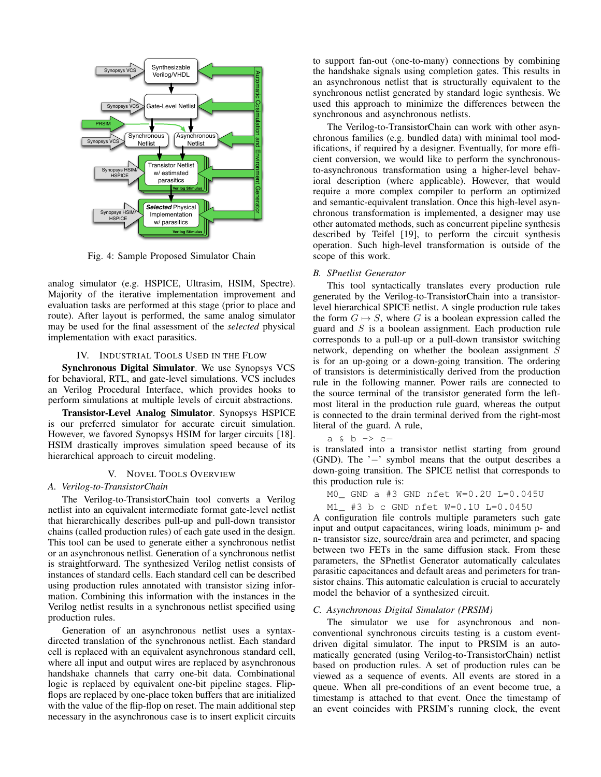

Fig. 4: Sample Proposed Simulator Chain

analog simulator (e.g. HSPICE, Ultrasim, HSIM, Spectre). Majority of the iterative implementation improvement and evaluation tasks are performed at this stage (prior to place and route). After layout is performed, the same analog simulator may be used for the final assessment of the *selected* physical implementation with exact parasitics.

#### IV. INDUSTRIAL TOOLS USED IN THE FLOW

Synchronous Digital Simulator. We use Synopsys VCS for behavioral, RTL, and gate-level simulations. VCS includes an Verilog Procedural Interface, which provides hooks to perform simulations at multiple levels of circuit abstractions.

Transistor-Level Analog Simulator. Synopsys HSPICE is our preferred simulator for accurate circuit simulation. However, we favored Synopsys HSIM for larger circuits [18]. HSIM drastically improves simulation speed because of its hierarchical approach to circuit modeling.

# V. NOVEL TOOLS OVERVIEW

#### *A. Verilog-to-TransistorChain*

The Verilog-to-TransistorChain tool converts a Verilog netlist into an equivalent intermediate format gate-level netlist that hierarchically describes pull-up and pull-down transistor chains (called production rules) of each gate used in the design. This tool can be used to generate either a synchronous netlist or an asynchronous netlist. Generation of a synchronous netlist is straightforward. The synthesized Verilog netlist consists of instances of standard cells. Each standard cell can be described using production rules annotated with transistor sizing information. Combining this information with the instances in the Verilog netlist results in a synchronous netlist specified using production rules.

Generation of an asynchronous netlist uses a syntaxdirected translation of the synchronous netlist. Each standard cell is replaced with an equivalent asynchronous standard cell, where all input and output wires are replaced by asynchronous handshake channels that carry one-bit data. Combinational logic is replaced by equivalent one-bit pipeline stages. Flipflops are replaced by one-place token buffers that are initialized with the value of the flip-flop on reset. The main additional step necessary in the asynchronous case is to insert explicit circuits to support fan-out (one-to-many) connections by combining the handshake signals using completion gates. This results in an asynchronous netlist that is structurally equivalent to the synchronous netlist generated by standard logic synthesis. We used this approach to minimize the differences between the synchronous and asynchronous netlists.

The Verilog-to-TransistorChain can work with other asynchronous families (e.g. bundled data) with minimal tool modifications, if required by a designer. Eventually, for more efficient conversion, we would like to perform the synchronousto-asynchronous transformation using a higher-level behavioral description (where applicable). However, that would require a more complex compiler to perform an optimized and semantic-equivalent translation. Once this high-level asynchronous transformation is implemented, a designer may use other automated methods, such as concurrent pipeline synthesis described by Teifel [19], to perform the circuit synthesis operation. Such high-level transformation is outside of the scope of this work.

#### *B. SPnetlist Generator*

This tool syntactically translates every production rule generated by the Verilog-to-TransistorChain into a transistorlevel hierarchical SPICE netlist. A single production rule takes the form  $G \mapsto S$ , where G is a boolean expression called the guard and  $S$  is a boolean assignment. Each production rule corresponds to a pull-up or a pull-down transistor switching network, depending on whether the boolean assignment S is for an up-going or a down-going transition. The ordering of transistors is deterministically derived from the production rule in the following manner. Power rails are connected to the source terminal of the transistor generated form the leftmost literal in the production rule guard, whereas the output is connected to the drain terminal derived from the right-most literal of the guard. A rule,

a & b -> c−

is translated into a transistor netlist starting from ground (GND). The '−' symbol means that the output describes a down-going transition. The SPICE netlist that corresponds to this production rule is:

M0\_ GND a #3 GND nfet W=0.2U L=0.045U

M1\_ #3 b c GND nfet W=0.1U L=0.045U

A configuration file controls multiple parameters such gate input and output capacitances, wiring loads, minimum p- and n- transistor size, source/drain area and perimeter, and spacing between two FETs in the same diffusion stack. From these parameters, the SPnetlist Generator automatically calculates parasitic capacitances and default areas and perimeters for transistor chains. This automatic calculation is crucial to accurately model the behavior of a synthesized circuit.

#### *C. Asynchronous Digital Simulator (PRSIM)*

The simulator we use for asynchronous and nonconventional synchronous circuits testing is a custom eventdriven digital simulator. The input to PRSIM is an automatically generated (using Verilog-to-TransistorChain) netlist based on production rules. A set of production rules can be viewed as a sequence of events. All events are stored in a queue. When all pre-conditions of an event become true, a timestamp is attached to that event. Once the timestamp of an event coincides with PRSIM's running clock, the event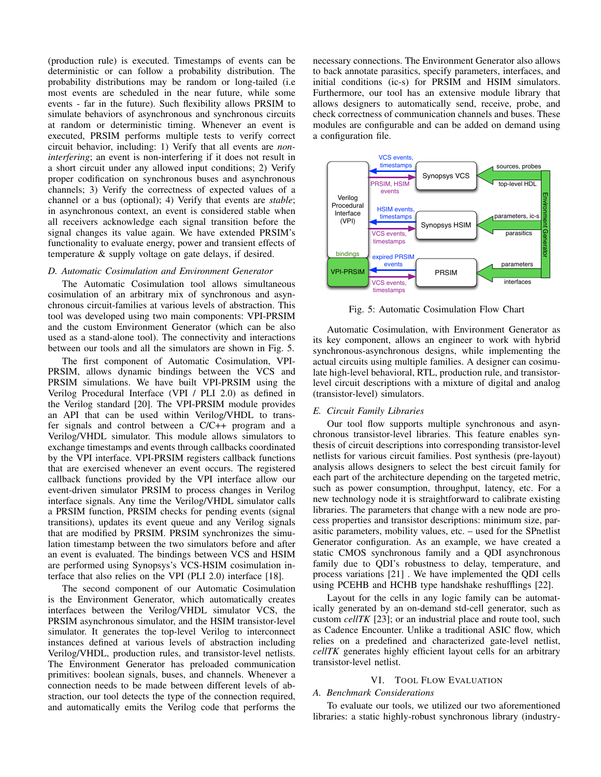(production rule) is executed. Timestamps of events can be deterministic or can follow a probability distribution. The probability distributions may be random or long-tailed (i.e most events are scheduled in the near future, while some events - far in the future). Such flexibility allows PRSIM to simulate behaviors of asynchronous and synchronous circuits at random or deterministic timing. Whenever an event is executed, PRSIM performs multiple tests to verify correct circuit behavior, including: 1) Verify that all events are *noninterfering*; an event is non-interfering if it does not result in a short circuit under any allowed input conditions; 2) Verify proper codification on synchronous buses and asynchronous channels; 3) Verify the correctness of expected values of a channel or a bus (optional); 4) Verify that events are *stable*; in asynchronous context, an event is considered stable when all receivers acknowledge each signal transition before the signal changes its value again. We have extended PRSIM's functionality to evaluate energy, power and transient effects of temperature & supply voltage on gate delays, if desired.

#### *D. Automatic Cosimulation and Environment Generator*

The Automatic Cosimulation tool allows simultaneous cosimulation of an arbitrary mix of synchronous and asynchronous circuit-families at various levels of abstraction. This tool was developed using two main components: VPI-PRSIM and the custom Environment Generator (which can be also used as a stand-alone tool). The connectivity and interactions between our tools and all the simulators are shown in Fig. 5.

The first component of Automatic Cosimulation, VPI-PRSIM, allows dynamic bindings between the VCS and PRSIM simulations. We have built VPI-PRSIM using the Verilog Procedural Interface (VPI / PLI 2.0) as defined in the Verilog standard [20]. The VPI-PRSIM module provides an API that can be used within Verilog/VHDL to transfer signals and control between a C/C++ program and a Verilog/VHDL simulator. This module allows simulators to exchange timestamps and events through callbacks coordinated by the VPI interface. VPI-PRSIM registers callback functions that are exercised whenever an event occurs. The registered callback functions provided by the VPI interface allow our event-driven simulator PRSIM to process changes in Verilog interface signals. Any time the Verilog/VHDL simulator calls a PRSIM function, PRSIM checks for pending events (signal transitions), updates its event queue and any Verilog signals that are modified by PRSIM. PRSIM synchronizes the simulation timestamp between the two simulators before and after an event is evaluated. The bindings between VCS and HSIM are performed using Synopsys's VCS-HSIM cosimulation interface that also relies on the VPI (PLI 2.0) interface [18].

The second component of our Automatic Cosimulation is the Environment Generator, which automatically creates interfaces between the Verilog/VHDL simulator VCS, the PRSIM asynchronous simulator, and the HSIM transistor-level simulator. It generates the top-level Verilog to interconnect instances defined at various levels of abstraction including Verilog/VHDL, production rules, and transistor-level netlists. The Environment Generator has preloaded communication primitives: boolean signals, buses, and channels. Whenever a connection needs to be made between different levels of abstraction, our tool detects the type of the connection required, and automatically emits the Verilog code that performs the

necessary connections. The Environment Generator also allows to back annotate parasitics, specify parameters, interfaces, and initial conditions (ic-s) for PRSIM and HSIM simulators. Furthermore, our tool has an extensive module library that allows designers to automatically send, receive, probe, and check correctness of communication channels and buses. These modules are configurable and can be added on demand using a configuration file.



Fig. 5: Automatic Cosimulation Flow Chart

Automatic Cosimulation, with Environment Generator as its key component, allows an engineer to work with hybrid synchronous-asynchronous designs, while implementing the actual circuits using multiple families. A designer can cosimulate high-level behavioral, RTL, production rule, and transistorlevel circuit descriptions with a mixture of digital and analog (transistor-level) simulators.

#### *E. Circuit Family Libraries*

Our tool flow supports multiple synchronous and asynchronous transistor-level libraries. This feature enables synthesis of circuit descriptions into corresponding transistor-level netlists for various circuit families. Post synthesis (pre-layout) analysis allows designers to select the best circuit family for each part of the architecture depending on the targeted metric, such as power consumption, throughput, latency, etc. For a new technology node it is straightforward to calibrate existing libraries. The parameters that change with a new node are process properties and transistor descriptions: minimum size, parasitic parameters, mobility values, etc. – used for the SPnetlist Generator configuration. As an example, we have created a static CMOS synchronous family and a QDI asynchronous family due to QDI's robustness to delay, temperature, and process variations [21] . We have implemented the QDI cells using PCEHB and HCHB type handshake reshufflings [22].

Layout for the cells in any logic family can be automatically generated by an on-demand std-cell generator, such as custom *cellTK* [23]; or an industrial place and route tool, such as Cadence Encounter. Unlike a traditional ASIC flow, which relies on a predefined and characterized gate-level netlist, *cellTK* generates highly efficient layout cells for an arbitrary transistor-level netlist.

# VI. TOOL FLOW EVALUATION

#### *A. Benchmark Considerations*

To evaluate our tools, we utilized our two aforementioned libraries: a static highly-robust synchronous library (industry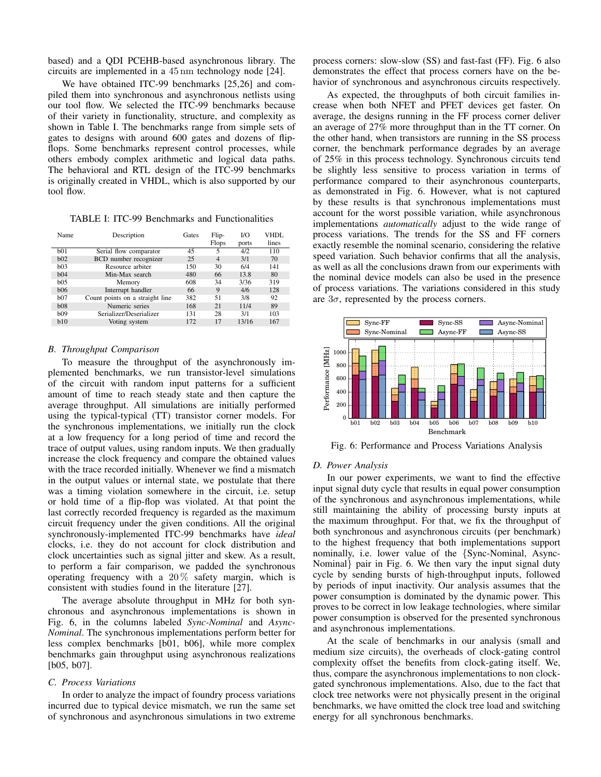based) and a QDI PCEHB-based asynchronous library. The circuits are implemented in a 45 nm technology node [24].

We have obtained ITC-99 benchmarks [25,26] and compiled them into synchronous and asynchronous netlists using our tool flow. We selected the ITC-99 benchmarks because of their variety in functionality, structure, and complexity as shown in Table I. The benchmarks range from simple sets of gates to designs with around 600 gates and dozens of flipflops. Some benchmarks represent control processes, while others embody complex arithmetic and logical data paths. The behavioral and RTL design of the ITC-99 benchmarks is originally created in VHDL, which is also supported by our tool flow.

TABLE I: ITC-99 Benchmarks and Functionalities

| Name            | Description                     | Gates | Flip-          | $U\Omega$ | VHDL  |
|-----------------|---------------------------------|-------|----------------|-----------|-------|
|                 |                                 |       | <b>Flops</b>   | ports     | lines |
| b <sub>01</sub> | Serial flow comparator          | 45    | 5              | 4/2       | 110   |
| b02             | BCD number recognizer           | 25    | $\overline{4}$ | 3/1       | 70    |
| b03             | Resource arbiter                | 150   | 30             | 6/4       | 141   |
| b04             | Min-Max search                  | 480   | 66             | 13.8      | 80    |
| b05             | Memory                          | 608   | 34             | 3/36      | 319   |
| b06             | Interrupt handler               | 66    | 9              | 4/6       | 128   |
| b07             | Count points on a straight line | 382   | 51             | 3/8       | 92    |
| b08             | Numeric series                  | 168   | 21             | 11/4      | 89    |
| b <sub>09</sub> | Serializer/Deserializer         | 131   | 28             | 3/1       | 103   |
| b10             | Voting system                   | 172   | 17             | 13/16     | 167   |

#### *B. Throughput Comparison*

To measure the throughput of the asynchronously implemented benchmarks, we run transistor-level simulations of the circuit with random input patterns for a sufficient amount of time to reach steady state and then capture the average throughput. All simulations are initially performed using the typical-typical (TT) transistor corner models. For the synchronous implementations, we initially run the clock at a low frequency for a long period of time and record the trace of output values, using random inputs. We then gradually increase the clock frequency and compare the obtained values with the trace recorded initially. Whenever we find a mismatch in the output values or internal state, we postulate that there was a timing violation somewhere in the circuit, i.e. setup or hold time of a flip-flop was violated. At that point the last correctly recorded frequency is regarded as the maximum circuit frequency under the given conditions. All the original synchronously-implemented ITC-99 benchmarks have *ideal* clocks, i.e. they do not account for clock distribution and clock uncertainties such as signal jitter and skew. As a result, to perform a fair comparison, we padded the synchronous operating frequency with a  $20\%$  safety margin, which is consistent with studies found in the literature [27].

The average absolute throughput in MHz for both synchronous and asynchronous implementations is shown in Fig. 6, in the columns labeled *Sync-Nominal* and *Async-Nominal*. The synchronous implementations perform better for less complex benchmarks [b01, b06], while more complex benchmarks gain throughput using asynchronous realizations [b05, b07].

# *C. Process Variations*

In order to analyze the impact of foundry process variations incurred due to typical device mismatch, we run the same set of synchronous and asynchronous simulations in two extreme process corners: slow-slow (SS) and fast-fast (FF). Fig. 6 also demonstrates the effect that process corners have on the behavior of synchronous and asynchronous circuits respectively.

As expected, the throughputs of both circuit families increase when both NFET and PFET devices get faster. On average, the designs running in the FF process corner deliver an average of 27% more throughput than in the TT corner. On the other hand, when transistors are running in the SS process corner, the benchmark performance degrades by an average of 25% in this process technology. Synchronous circuits tend be slightly less sensitive to process variation in terms of performance compared to their asynchronous counterparts, as demonstrated in Fig. 6. However, what is not captured by these results is that synchronous implementations must account for the worst possible variation, while asynchronous implementations *automatically* adjust to the wide range of process variations. The trends for the SS and FF corners exactly resemble the nominal scenario, considering the relative speed variation. Such behavior confirms that all the analysis, as well as all the conclusions drawn from our experiments with the nominal device models can also be used in the presence of process variations. The variations considered in this study are  $3\sigma$ , represented by the process corners.



Fig. 6: Performance and Process Variations Analysis

#### *D. Power Analysis*

In our power experiments, we want to find the effective input signal duty cycle that results in equal power consumption of the synchronous and asynchronous implementations, while still maintaining the ability of processing bursty inputs at the maximum throughput. For that, we fix the throughput of both synchronous and asynchronous circuits (per benchmark) to the highest frequency that both implementations support nominally, i.e. lower value of the {Sync-Nominal, Async-Nominal} pair in Fig. 6. We then vary the input signal duty cycle by sending bursts of high-throughput inputs, followed by periods of input inactivity. Our analysis assumes that the power consumption is dominated by the dynamic power. This proves to be correct in low leakage technologies, where similar power consumption is observed for the presented synchronous and asynchronous implementations.

At the scale of benchmarks in our analysis (small and medium size circuits), the overheads of clock-gating control complexity offset the benefits from clock-gating itself. We, thus, compare the asynchronous implementations to non clockgated synchronous implementations. Also, due to the fact that clock tree networks were not physically present in the original benchmarks, we have omitted the clock tree load and switching energy for all synchronous benchmarks.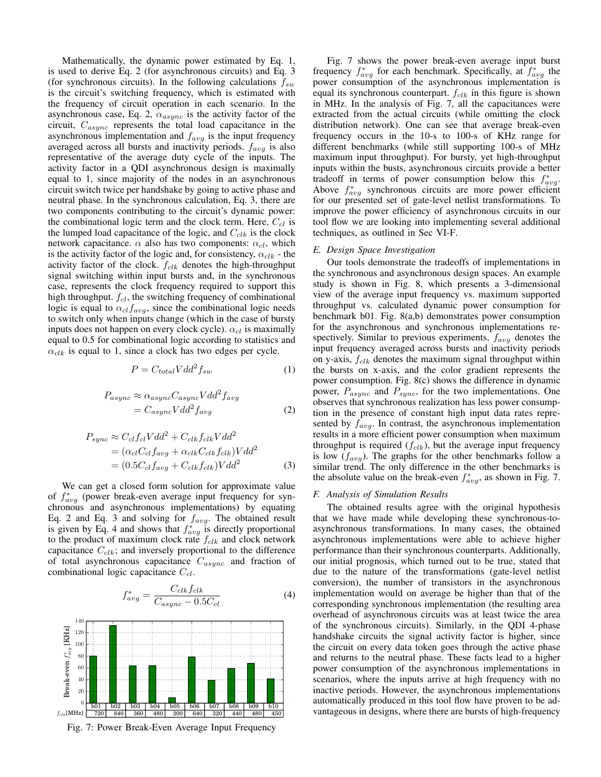Mathematically, the dynamic power estimated by Eq. 1, is used to derive Eq. 2 (for asynchronous circuits) and Eq. 3 (for synchronous circuits). In the following calculations  $f_{sw}$ is the circuit's switching frequency, which is estimated with the frequency of circuit operation in each scenario. In the asynchronous case, Eq. 2,  $\alpha_{async}$  is the activity factor of the circuit,  $C_{async}$  represents the total load capacitance in the asynchronous implementation and  $f_{avg}$  is the input frequency averaged across all bursts and inactivity periods.  $f_{avg}$  is also representative of the average duty cycle of the inputs. The activity factor in a QDI asynchronous design is maximally equal to 1, since majority of the nodes in an asynchronous circuit switch twice per handshake by going to active phase and neutral phase. In the synchronous calculation, Eq. 3, there are two components contributing to the circuit's dynamic power: the combinational logic term and the clock term. Here,  $C_{cl}$  is the lumped load capacitance of the logic, and  $C_{clk}$  is the clock network capacitance.  $\alpha$  also has two components:  $\alpha_{cl}$ , which is the activity factor of the logic and, for consistency,  $\alpha_{clk}$  - the activity factor of the clock.  $f_{clk}$  denotes the high-throughput signal switching within input bursts and, in the synchronous case, represents the clock frequency required to support this high throughput.  $f_{cl}$ , the switching frequency of combinational logic is equal to  $\alpha_{cl}f_{avg}$ , since the combinational logic needs to switch only when inputs change (which in the case of bursty inputs does not happen on every clock cycle).  $\alpha_{cl}$  is maximally equal to 0.5 for combinational logic according to statistics and  $\alpha_{clk}$  is equal to 1, since a clock has two edges per cycle.

$$
P = C_{total} V d d^2 f_{sw} \tag{1}
$$

$$
P_{async} \approx \alpha_{async} C_{async} V dd^2 f_{avg}
$$
  
=  $C_{async} V dd^2 f_{avg}$  (2)

$$
P_{sync} \approx C_{cl} f_{cl} V d d^2 + C_{clk} f_{clk} V d d^2
$$
  
=  $(\alpha_{cl} C_{cl} f_{avg} + \alpha_{clk} C_{clk} f_{clk}) V d d^2$   
=  $(0.5 C_{cl} f_{avg} + C_{clk} f_{clk}) V d d^2$  (3)

We can get a closed form solution for approximate value of  $f^*_{avg}$  (power break-even average input frequency for synchronous and asynchronous implementations) by equating Eq. 2 and Eq. 3 and solving for  $f_{avg}$ . The obtained result is given by Eq. 4 and shows that  $f_{avg}^*$  is directly proportional to the product of maximum clock rate  $f_{clk}$  and clock network capacitance  $C_{clk}$ ; and inversely proportional to the difference of total asynchronous capacitance  $C_{async}$  and fraction of combinational logic capacitance  $C_{cl}$ .

$$
f_{avg}^{*} = \frac{C_{clk} f_{clk}}{C_{async} - 0.5C_{cl}}
$$
 (4)



Fig. 7: Power Break-Even Average Input Frequency

Fig. 7 shows the power break-even average input burst frequency  $f_{avg}^*$  for each benchmark. Specifically, at  $f_{avg}^*$  the power consumption of the asynchronous implementation is equal its synchronous counterpart.  $f_{clk}$  in this figure is shown in MHz. In the analysis of Fig. 7, all the capacitances were extracted from the actual circuits (while omitting the clock distribution network). One can see that average break-even frequency occurs in the 10-s to 100-s of KHz range for different benchmarks (while still supporting 100-s of MHz maximum input throughput). For bursty, yet high-throughput inputs within the busts, asynchronous circuits provide a better tradeoff in terms of power consumption below this  $f_{avg}^*$ . Above  $f_{avg}^*$  synchronous circuits are more power efficient for our presented set of gate-level netlist transformations. To improve the power efficiency of asynchronous circuits in our tool flow we are looking into implementing several additional techniques, as outlined in Sec VI-F.

#### *E. Design Space Investigation*

Our tools demonstrate the tradeoffs of implementations in the synchronous and asynchronous design spaces. An example study is shown in Fig. 8, which presents a 3-dimensional view of the average input frequency vs. maximum supported throughput vs. calculated dynamic power consumption for benchmark b01. Fig. 8(a,b) demonstrates power consumption for the asynchronous and synchronous implementations respectively. Similar to previous experiments,  $f_{avg}$  denotes the input frequency averaged across bursts and inactivity periods on y-axis,  $f_{clk}$  denotes the maximum signal throughput within the bursts on x-axis, and the color gradient represents the power consumption. Fig. 8(c) shows the difference in dynamic power,  $P_{async}$  and  $P_{sync}$ , for the two implementations. One observes that synchronous realization has less power consumption in the presence of constant high input data rates represented by  $f_{avg}$ . In contrast, the asynchronous implementation results in a more efficient power consumption when maximum throughput is required  $(f_{clk})$ , but the average input frequency is low  $(f_{avg})$ . The graphs for the other benchmarks follow a similar trend. The only difference in the other benchmarks is the absolute value on the break-even  $f_{avg}^*$ , as shown in Fig. 7.

#### *F. Analysis of Simulation Results*

The obtained results agree with the original hypothesis that we have made while developing these synchronous-toasynchronous transformations. In many cases, the obtained asynchronous implementations were able to achieve higher performance than their synchronous counterparts. Additionally, our initial prognosis, which turned out to be true, stated that due to the nature of the transformations (gate-level netlist conversion), the number of transistors in the asynchronous implementation would on average be higher than that of the corresponding synchronous implementation (the resulting area overhead of asynchronous circuits was at least twice the area of the synchronous circuits). Similarly, in the QDI 4-phase handshake circuits the signal activity factor is higher, since the circuit on every data token goes through the active phase and returns to the neutral phase. These facts lead to a higher power consumption of the asynchronous implementations in scenarios, where the inputs arrive at high frequency with no inactive periods. However, the asynchronous implementations automatically produced in this tool flow have proven to be advantageous in designs, where there are bursts of high-frequency